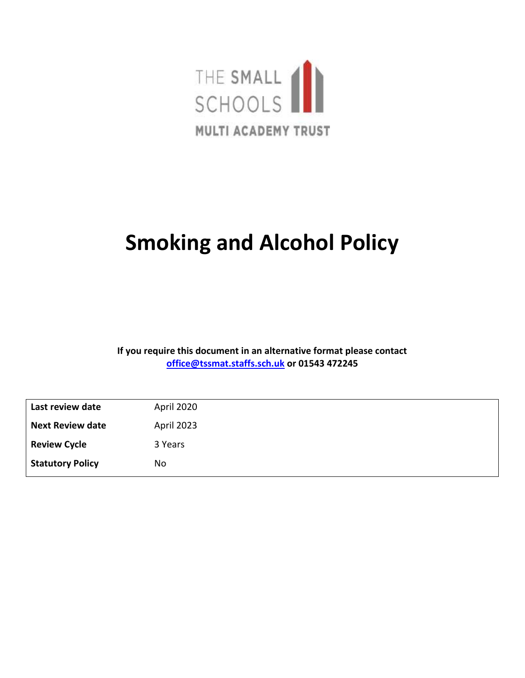

# **Smoking and Alcohol Policy**

**If you require this document in an alternative format please contact [office@tssmat.staffs.sch.uk](mailto:office@tssmat.staffs.sch.uk) or 01543 472245**

| Last review date        | April 2020 |
|-------------------------|------------|
| <b>Next Review date</b> | April 2023 |
| <b>Review Cycle</b>     | 3 Years    |
| <b>Statutory Policy</b> | No         |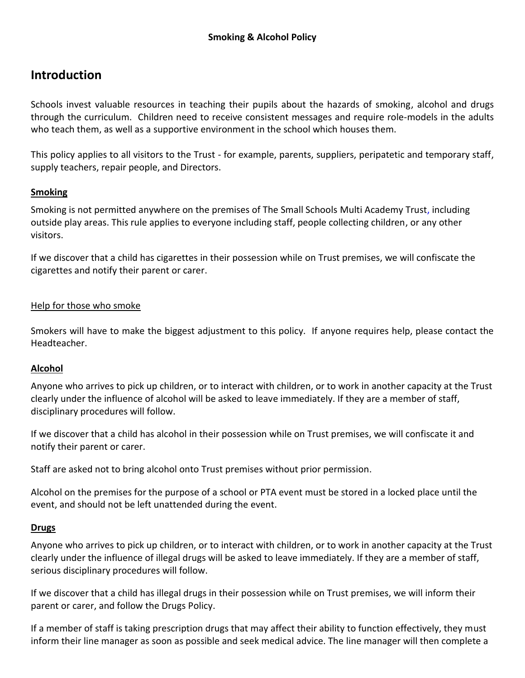## **Introduction**

Schools invest valuable resources in teaching their pupils about the hazards of smoking, alcohol and drugs through the curriculum. Children need to receive consistent messages and require role-models in the adults who teach them, as well as a supportive environment in the school which houses them.

This policy applies to all visitors to the Trust - for example, parents, suppliers, peripatetic and temporary staff, supply teachers, repair people, and Directors.

### **Smoking**

Smoking is not permitted anywhere on the premises of The Small Schools Multi Academy Trust, including outside play areas. This rule applies to everyone including staff, people collecting children, or any other visitors.

If we discover that a child has cigarettes in their possession while on Trust premises, we will confiscate the cigarettes and notify their parent or carer.

#### Help for those who smoke

Smokers will have to make the biggest adjustment to this policy. If anyone requires help, please contact the Headteacher.

#### **Alcohol**

Anyone who arrives to pick up children, or to interact with children, or to work in another capacity at the Trust clearly under the influence of alcohol will be asked to leave immediately. If they are a member of staff, disciplinary procedures will follow.

If we discover that a child has alcohol in their possession while on Trust premises, we will confiscate it and notify their parent or carer.

Staff are asked not to bring alcohol onto Trust premises without prior permission.

Alcohol on the premises for the purpose of a school or PTA event must be stored in a locked place until the event, and should not be left unattended during the event.

#### **Drugs**

Anyone who arrives to pick up children, or to interact with children, or to work in another capacity at the Trust clearly under the influence of illegal drugs will be asked to leave immediately. If they are a member of staff, serious disciplinary procedures will follow.

If we discover that a child has illegal drugs in their possession while on Trust premises, we will inform their parent or carer, and follow the Drugs Policy.

If a member of staff is taking prescription drugs that may affect their ability to function effectively, they must inform their line manager as soon as possible and seek medical advice. The line manager will then complete a